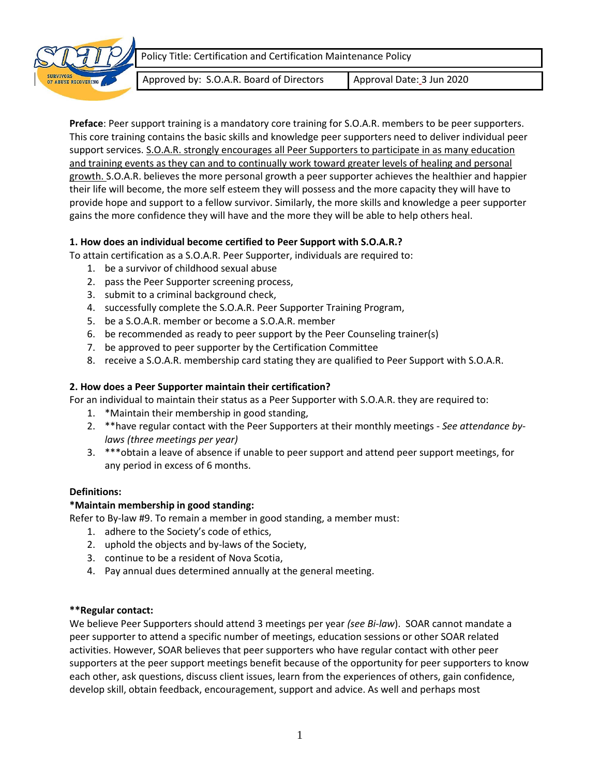



Approved by: S.O.A.R. Board of Directors | Approval Date: 3 Jun 2020

**Preface**: Peer support training is a mandatory core training for S.O.A.R. members to be peer supporters. This core training contains the basic skills and knowledge peer supporters need to deliver individual peer support services. S.O.A.R. strongly encourages all Peer Supporters to participate in as many education and training events as they can and to continually work toward greater levels of healing and personal growth. S.O.A.R. believes the more personal growth a peer supporter achieves the healthier and happier their life will become, the more self esteem they will possess and the more capacity they will have to provide hope and support to a fellow survivor. Similarly, the more skills and knowledge a peer supporter gains the more confidence they will have and the more they will be able to help others heal.

# **1. How does an individual become certified to Peer Support with S.O.A.R.?**

- To attain certification as a S.O.A.R. Peer Supporter, individuals are required to:
	- 1. be a survivor of childhood sexual abuse
	- 2. pass the Peer Supporter screening process,
	- 3. submit to a criminal background check,
	- 4. successfully complete the S.O.A.R. Peer Supporter Training Program,
	- 5. be a S.O.A.R. member or become a S.O.A.R. member
	- 6. be recommended as ready to peer support by the Peer Counseling trainer(s)
	- 7. be approved to peer supporter by the Certification Committee
	- 8. receive a S.O.A.R. membership card stating they are qualified to Peer Support with S.O.A.R.

# **2. How does a Peer Supporter maintain their certification?**

For an individual to maintain their status as a Peer Supporter with S.O.A.R. they are required to:

- 1. \*Maintain their membership in good standing,
- 2. \*\*have regular contact with the Peer Supporters at their monthly meetings *See attendance bylaws (three meetings per year)*
- 3. \*\*\*obtain a leave of absence if unable to peer support and attend peer support meetings, for any period in excess of 6 months.

### **Definitions:**

### **\*Maintain membership in good standing:**

Refer to By-law #9. To remain a member in good standing, a member must:

- 1. adhere to the Society's code of ethics,
- 2. uphold the objects and by-laws of the Society,
- 3. continue to be a resident of Nova Scotia,
- 4. Pay annual dues determined annually at the general meeting.

### **\*\*Regular contact:**

We believe Peer Supporters should attend 3 meetings per year *(see Bi-law*). SOAR cannot mandate a peer supporter to attend a specific number of meetings, education sessions or other SOAR related activities. However, SOAR believes that peer supporters who have regular contact with other peer supporters at the peer support meetings benefit because of the opportunity for peer supporters to know each other, ask questions, discuss client issues, learn from the experiences of others, gain confidence, develop skill, obtain feedback, encouragement, support and advice. As well and perhaps most